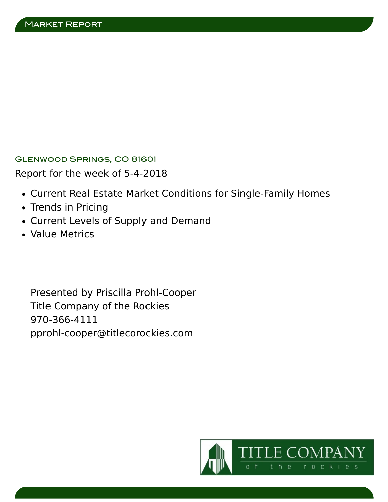Glenwood Springs, CO 81601

Report for the week of 5-4-2018

- Current Real Estate Market Conditions for Single-Family Homes
- Trends in Pricing
- Current Levels of Supply and Demand
- Value Metrics

Presented by Priscilla Prohl-Cooper Title Company of the Rockies 970-366-4111 pprohl-cooper@titlecorockies.com

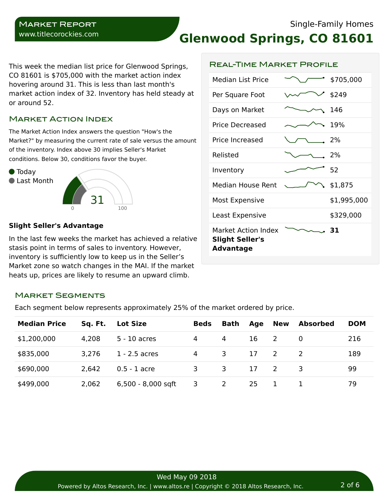# **Glenwood Springs, CO 81601**

Real-Time Market Profile

This week the median list price for Glenwood Springs, CO 81601 is \$705,000 with the market action index hovering around 31. This is less than last month's market action index of 32. Inventory has held steady at or around 52.

# Market Action Index

The Market Action Index answers the question "How's the Market?" by measuring the current rate of sale versus the amount of the inventory. Index above 30 implies Seller's Market conditions. Below 30, conditions favor the buyer.



#### **Slight Seller's Advantage**

In the last few weeks the market has achieved a relative stasis point in terms of sales to inventory. However, inventory is sufficiently low to keep us in the Seller's Market zone so watch changes in the MAI. If the market heats up, prices are likely to resume an upward climb.

| Median List Price                                                        | \$705,000   |
|--------------------------------------------------------------------------|-------------|
| Per Square Foot                                                          | \$249       |
| Days on Market                                                           | 146         |
| Price Decreased                                                          | 19%         |
| Price Increased                                                          | 2%          |
| Relisted                                                                 | 2%          |
| Inventory                                                                | 52          |
| <b>Median House Rent</b>                                                 | \$1,875     |
| Most Expensive                                                           | \$1,995,000 |
| Least Expensive                                                          | \$329,000   |
| <b>Market Action Index</b><br><b>Slight Seller's</b><br><b>Advantage</b> | -31         |

# Market Segments

Each segment below represents approximately 25% of the market ordered by price.

| <b>Median Price</b> | Sq. Ft. | <b>Lot Size</b>      | <b>Beds</b> | <b>Bath</b>             | Age | New          | <b>Absorbed</b> | <b>DOM</b> |
|---------------------|---------|----------------------|-------------|-------------------------|-----|--------------|-----------------|------------|
|                     |         |                      |             |                         |     |              |                 |            |
| \$1,200,000         | 4.208   | 5 - 10 acres         | 4           | 4                       | 16  | <sup>2</sup> |                 | 216        |
| \$835,000           | 3.276   | $1 - 2.5$ acres      | 4           | 3                       | 17  | 2            |                 | 189        |
| \$690,000           | 2,642   | $0.5 - 1$ acre       | 3.          | $\overline{\mathbf{3}}$ | 17  | 2            | -3              | 99         |
| \$499,000           | 2,062   | $6,500 - 8,000$ sqft | 3           | <sup>2</sup>            | 25  |              |                 | 79         |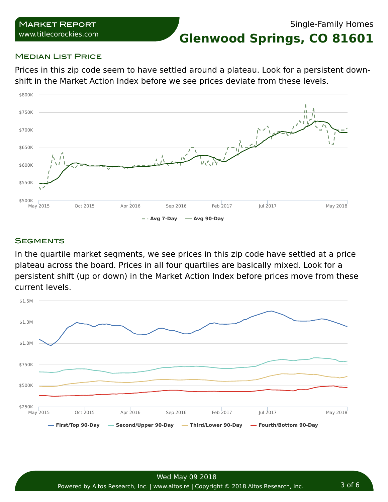**Glenwood Springs, CO 81601**

# **MEDIAN LIST PRICE**

Prices in this zip code seem to have settled around a plateau. Look for a persistent downshift in the Market Action Index before we see prices deviate from these levels.



# **SEGMENTS**

In the quartile market segments, we see prices in this zip code have settled at a price plateau across the board. Prices in all four quartiles are basically mixed. Look for a persistent shift (up or down) in the Market Action Index before prices move from these current levels.

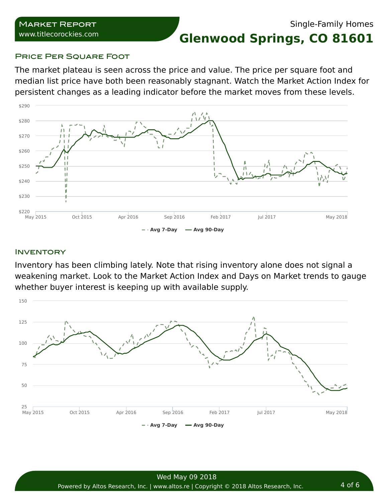# Single-Family Homes

**Glenwood Springs, CO 81601**

# PRICE PER SQUARE FOOT

The market plateau is seen across the price and value. The price per square foot and median list price have both been reasonably stagnant. Watch the Market Action Index for persistent changes as a leading indicator before the market moves from these levels.



#### **INVENTORY**

Inventory has been climbing lately. Note that rising inventory alone does not signal a weakening market. Look to the Market Action Index and Days on Market trends to gauge whether buyer interest is keeping up with available supply.

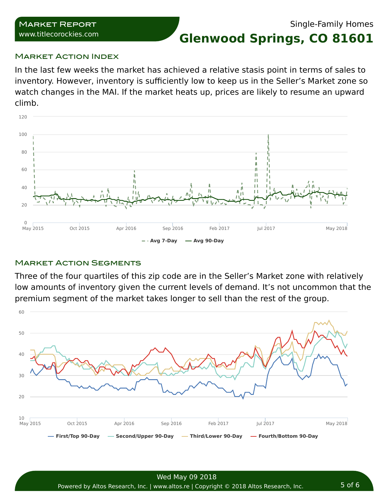# Single-Family Homes

**Glenwood Springs, CO 81601**

#### **MARKET ACTION INDEX**

In the last few weeks the market has achieved a relative stasis point in terms of sales to inventory. However, inventory is sufficiently low to keep us in the Seller's Market zone so watch changes in the MAI. If the market heats up, prices are likely to resume an upward climb.



# **MARKET ACTION SEGMENTS**

Three of the four quartiles of this zip code are in the Seller's Market zone with relatively low amounts of inventory given the current levels of demand. It's not uncommon that the premium segment of the market takes longer to sell than the rest of the group.